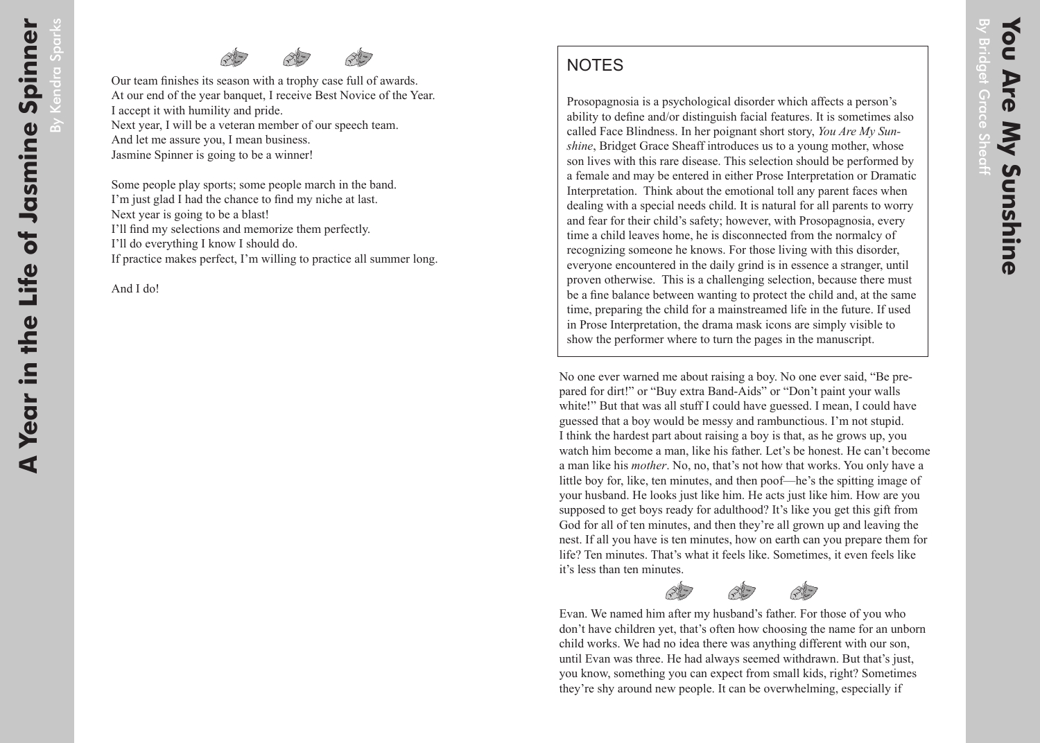## **NOTES**

Prosopagnosia is a psychological disorder which affects a person's ability to define and/or distinguish facial features. It is sometimes also called Face Blindness. In her poignant short story, *You Are My Sunshine*, Bridget Grace Sheaff introduces us to a young mother, whose son lives with this rare disease. This selection should be performed by a female and may be entered in either Prose Interpretation or Dramatic Interpretation. Think about the emotional toll any parent faces when dealing with a special needs child. It is natural for all parents to worry and fear for their child's safety; however, with Prosopagnosia, every time a child leaves home, he is disconnected from the normalcy of recognizing someone he knows. For those living with this disorder, everyone encountered in the daily grind is in essence a stranger, until proven otherwise. This is a challenging selection, because there must be a fine balance between wanting to protect the child and, at the same time, preparing the child for a mainstreamed life in the future. If used in Prose Interpretation, the drama mask icons are simply visible to show the performer where to turn the pages in the manuscript.

No one ever warned me about raising a boy. No one ever said, "Be prepared for dirt!" or "Buy extra Band-Aids" or "Don't paint your walls white!" But that was all stuff I could have guessed. I mean, I could have guessed that a boy would be messy and rambunctious. I'm not stupid. I think the hardest part about raising a boy is that, as he grows up, you watch him become a man, like his father. Let's be honest. He can't become a man like his *mother*. No, no, that's not how that works. You only have a little boy for, like, ten minutes, and then poof—he's the spitting image of your husband. He looks just like him. He acts just like him. How are you supposed to get boys ready for adulthood? It's like you get this gift from God for all of ten minutes, and then they're all grown up and leaving the nest. If all you have is ten minutes, how on earth can you prepare them for life? Ten minutes. That's what it feels like. Sometimes, it even feels like it's less than ten minutes.

Evan. We named him after my husband's father. For those of you who don't have children yet, that's often how choosing the name for an unborn child works. We had no idea there was anything different with our son, until Evan was three. He had always seemed withdrawn. But that's just, you know, something you can expect from small kids, right? Sometimes they're shy around new people. It can be overwhelming, especially if